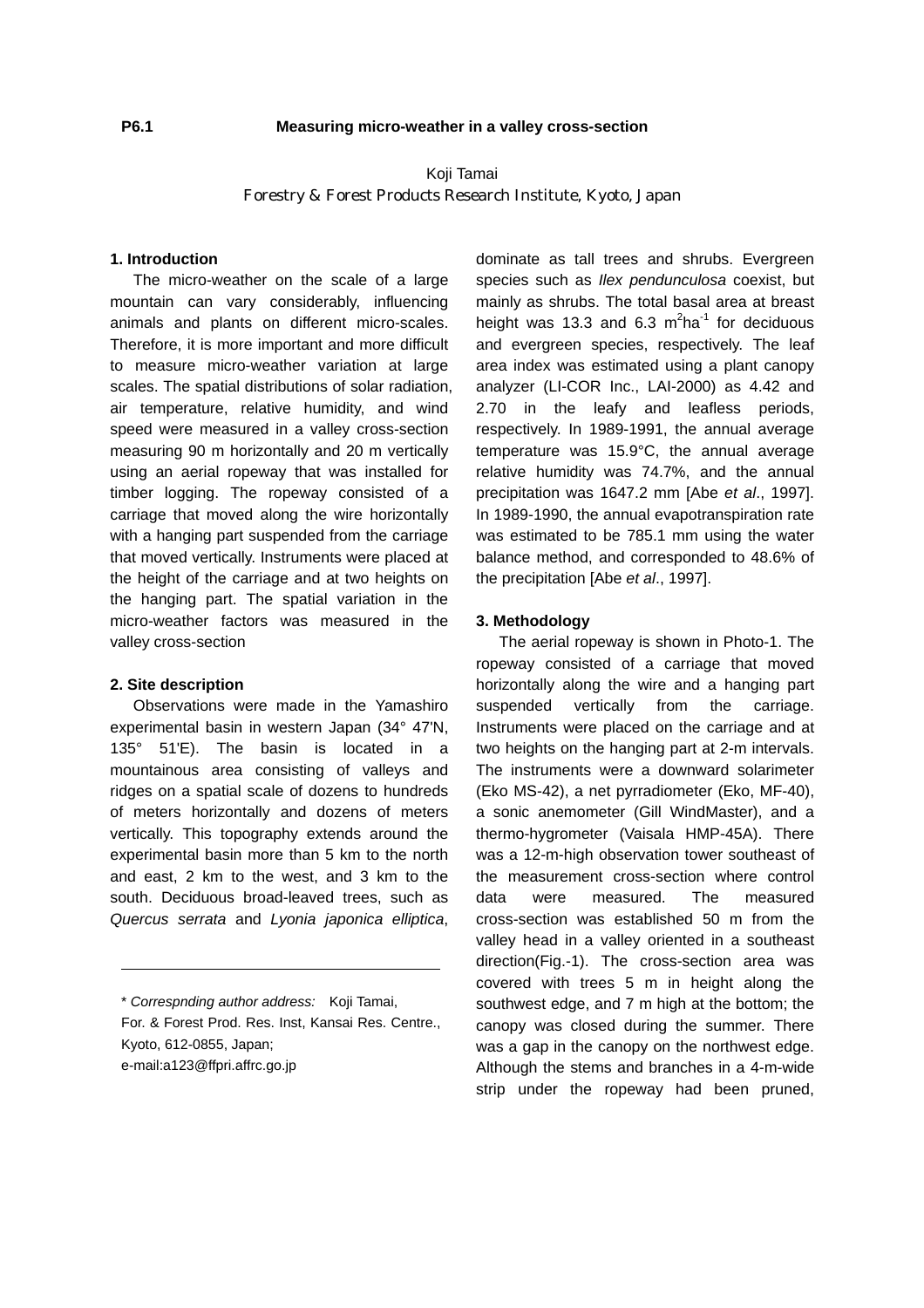# Koji Tamai Forestry & Forest Products Research Institute, Kyoto, Japan

### **1. Introduction**

The micro-weather on the scale of a large mountain can vary considerably, influencing animals and plants on different micro-scales. Therefore, it is more important and more difficult to measure micro-weather variation at large scales. The spatial distributions of solar radiation, air temperature, relative humidity, and wind speed were measured in a valley cross-section measuring 90 m horizontally and 20 m vertically using an aerial ropeway that was installed for timber logging. The ropeway consisted of a carriage that moved along the wire horizontally with a hanging part suspended from the carriage that moved vertically. Instruments were placed at the height of the carriage and at two heights on the hanging part. The spatial variation in the micro-weather factors was measured in the valley cross-section

#### **2. Site description**

Observations were made in the Yamashiro experimental basin in western Japan (34° 47'N, 135° 51'E). The basin is located in a mountainous area consisting of valleys and ridges on a spatial scale of dozens to hundreds of meters horizontally and dozens of meters vertically. This topography extends around the experimental basin more than 5 km to the north and east, 2 km to the west, and 3 km to the south. Deciduous broad-leaved trees, such as *Quercus serrata* and *Lyonia japonica elliptica*,

\* *Correspnding author address:* Koji Tamai, For. & Forest Prod. Res. Inst, Kansai Res. Centre., Kyoto, 612-0855, Japan; e-mail:a123@ffpri.affrc.go.jp

dominate as tall trees and shrubs. Evergreen species such as *Ilex pendunculosa* coexist, but mainly as shrubs. The total basal area at breast height was 13.3 and 6.3  $m^2$ ha<sup>-1</sup> for deciduous and evergreen species, respectively. The leaf area index was estimated using a plant canopy analyzer (LI-COR Inc., LAI-2000) as 4.42 and 2.70 in the leafy and leafless periods, respectively. In 1989-1991, the annual average temperature was 15.9°C, the annual average relative humidity was 74.7%, and the annual precipitation was 1647.2 mm [Abe *et al*., 1997]. In 1989-1990, the annual evapotranspiration rate was estimated to be 785.1 mm using the water balance method, and corresponded to 48.6% of the precipitation [Abe *et al*., 1997].

#### **3. Methodology**

The aerial ropeway is shown in Photo-1. The ropeway consisted of a carriage that moved horizontally along the wire and a hanging part suspended vertically from the carriage. Instruments were placed on the carriage and at two heights on the hanging part at 2-m intervals. The instruments were a downward solarimeter (Eko MS-42), a net pyrradiometer (Eko, MF-40), a sonic anemometer (Gill WindMaster), and a thermo-hygrometer (Vaisala HMP-45A). There was a 12-m-high observation tower southeast of the measurement cross-section where control data were measured. The measured cross-section was established 50 m from the valley head in a valley oriented in a southeast direction(Fig.-1). The cross-section area was covered with trees 5 m in height along the southwest edge, and 7 m high at the bottom; the canopy was closed during the summer. There was a gap in the canopy on the northwest edge. Although the stems and branches in a 4-m-wide strip under the ropeway had been pruned,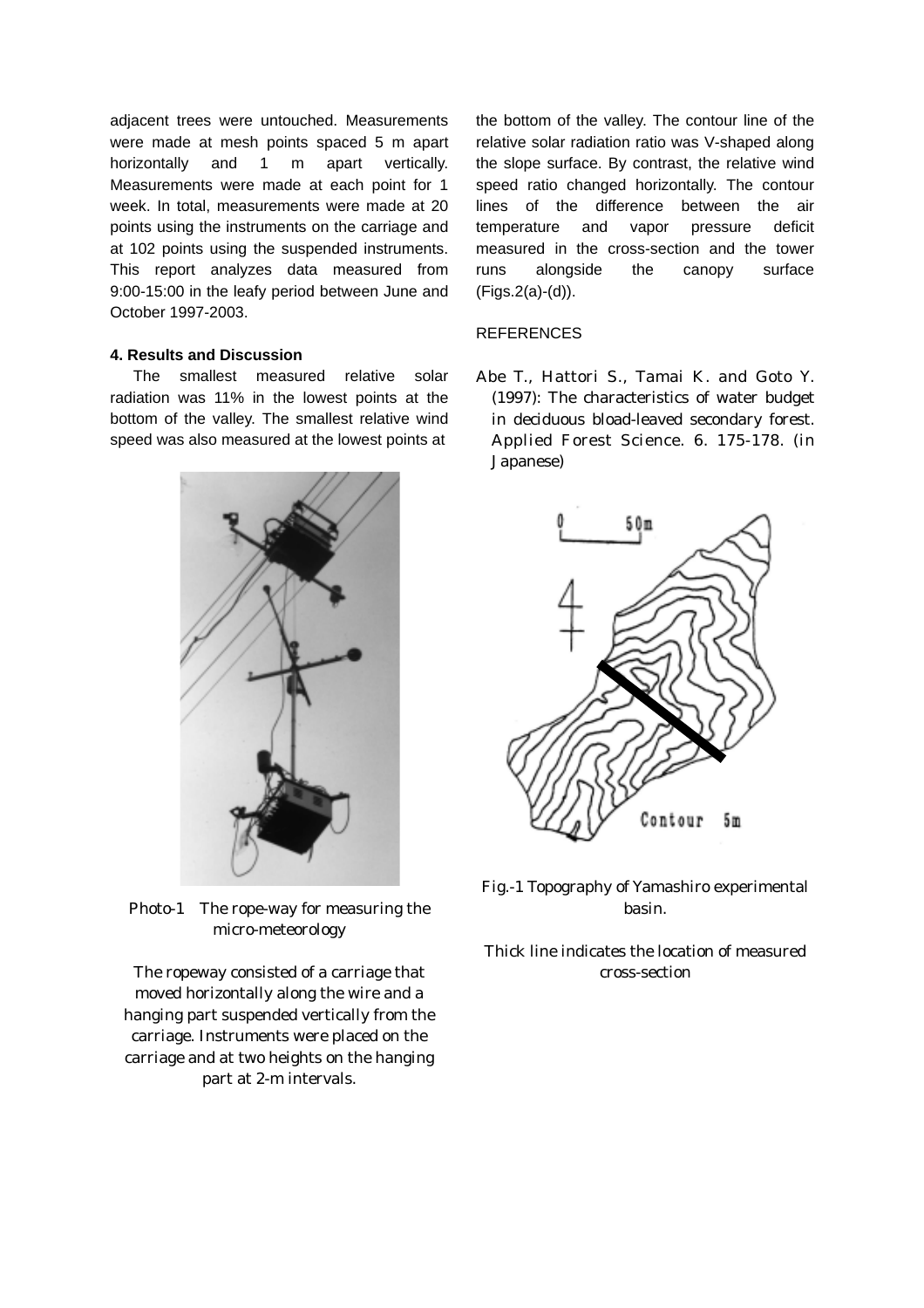adjacent trees were untouched. Measurements were made at mesh points spaced 5 m apart horizontally and 1 m apart vertically. Measurements were made at each point for 1 week. In total, measurements were made at 20 points using the instruments on the carriage and at 102 points using the suspended instruments. This report analyzes data measured from 9:00-15:00 in the leafy period between June and October 1997-2003.

### **4. Results and Discussion**

radiation was 11% in the lowest points at the bottom of the valley. The smallest relative wind speed was also measured at the lowest points at



Photo-1 The rope-way for measuring the basin. micro-meteorology

The ropeway consisted of a carriage that cross-section moved horizontally along the wire and a hanging part suspended vertically from the carriage. Instruments were placed on the carriage and at two heights on the hanging part at 2-m intervals.

the bottom of the valley. The contour line of the relative solar radiation ratio was V-shaped along the slope surface. By contrast, the relative wind speed ratio changed horizontally. The contour lines of the difference between the air temperature and vapor pressure deficit measured in the cross-section and the tower runs alongside the canopy surface (Figs.2(a)-(d)).

## **REFERENCES**

The smallest measured relative solar Abe T., Hattori S., Tamai K. and Goto Y. (1997): The characteristics of water budget in deciduous bload-leaved secondary forest. Applied Forest Science. 6. 175-178. (in Japanese)



Fig.-1 Topography of Yamashiro experimental

Thick line indicates the location of measured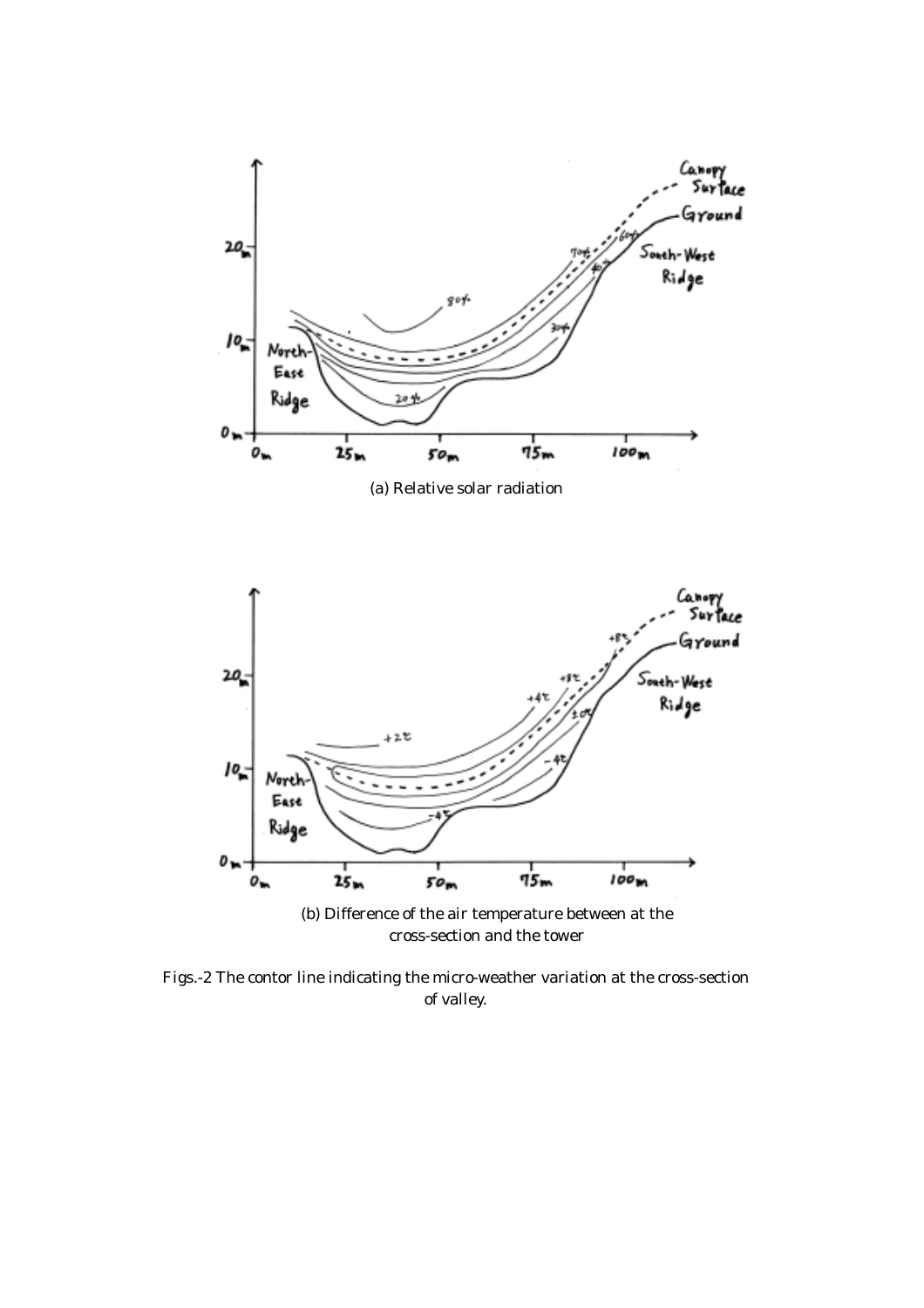

Figs.-2 The contor line indicating the micro-weather variation at the cross-section of valley.